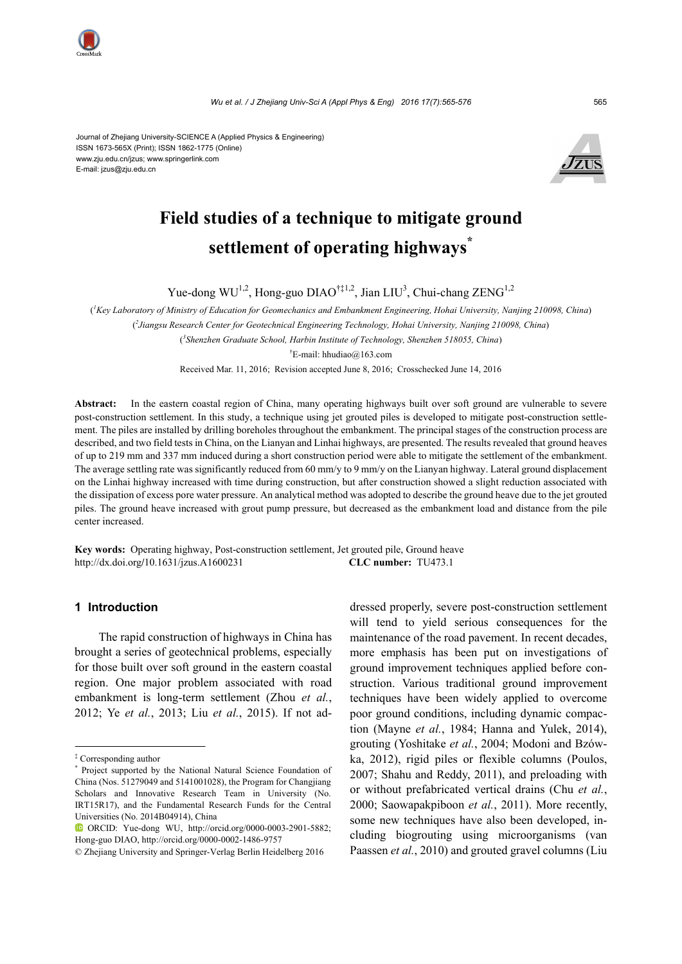

Journal of Zhejiang University-SCIENCE A (Applied Physics & Engineering) ISSN 1673-565X (Print); ISSN 1862-1775 (Online) www.zju.edu.cn/jzus; www.springerlink.com E-mail: jzus@zju.edu.cn



# **Field studies of a technique to mitigate ground settlement of operating highways\***

Yue-dong  $WU^{1,2}$ , Hong-guo DIAO<sup>†‡1,2</sup>, Jian LIU<sup>3</sup>, Chui-chang ZENG<sup>1,2</sup>

( *1 Key Laboratory of Ministry of Education for Geomechanics and Embankment Engineering, Hohai University, Nanjing 210098, China*) ( *2 Jiangsu Research Center for Geotechnical Engineering Technology, Hohai University, Nanjing 210098, China*) ( *3 Shenzhen Graduate School, Harbin Institute of Technology, Shenzhen 518055, China*)

† E-mail: hhudiao@163.com

Received Mar. 11, 2016; Revision accepted June 8, 2016; Crosschecked June 14, 2016

Abstract: In the eastern coastal region of China, many operating highways built over soft ground are vulnerable to severe post-construction settlement. In this study, a technique using jet grouted piles is developed to mitigate post-construction settlement. The piles are installed by drilling boreholes throughout the embankment. The principal stages of the construction process are described, and two field tests in China, on the Lianyan and Linhai highways, are presented. The results revealed that ground heaves of up to 219 mm and 337 mm induced during a short construction period were able to mitigate the settlement of the embankment. The average settling rate was significantly reduced from 60 mm/y to 9 mm/y on the Lianyan highway. Lateral ground displacement on the Linhai highway increased with time during construction, but after construction showed a slight reduction associated with the dissipation of excess pore water pressure. An analytical method was adopted to describe the ground heave due to the jet grouted piles. The ground heave increased with grout pump pressure, but decreased as the embankment load and distance from the pile center increased.

**Key words:** Operating highway, Post-construction settlement, Jet grouted pile, Ground heave http://dx.doi.org**/**10.1631/jzus.A1600231 **CLC number:** TU473.1

#### **1 Introduction**

The rapid construction of highways in China has brought a series of geotechnical problems, especially for those built over soft ground in the eastern coastal region. One major problem associated with road embankment is long-term settlement (Zhou *et al.*, 2012; Ye *et al.*, 2013; Liu *et al.*, 2015). If not addressed properly, severe post-construction settlement will tend to yield serious consequences for the maintenance of the road pavement. In recent decades, more emphasis has been put on investigations of ground improvement techniques applied before construction. Various traditional ground improvement techniques have been widely applied to overcome poor ground conditions, including dynamic compaction (Mayne *et al.*, 1984; Hanna and Yulek, 2014), grouting (Yoshitake *et al.*, 2004; Modoni and Bzówka, 2012), rigid piles or flexible columns (Poulos, 2007; Shahu and Reddy, 2011), and preloading with or without prefabricated vertical drains (Chu *et al.*, 2000; Saowapakpiboon *et al.*, 2011). More recently, some new techniques have also been developed, including biogrouting using microorganisms (van Paassen *et al.*, 2010) and grouted gravel columns (Liu

<sup>‡</sup> Corresponding author

<sup>\*</sup> Project supported by the National Natural Science Foundation of China (Nos. 51279049 and 5141001028), the Program for Changjiang Scholars and Innovative Research Team in University (No. IRT15R17), and the Fundamental Research Funds for the Central Universities (No. 2014B04914), China

ORCID: Yue-dong WU, http://orcid.org/0000-0003-2901-5882; Hong-guo DIAO, http://orcid.org/0000-0002-1486-9757

<sup>©</sup> Zhejiang University and Springer-Verlag Berlin Heidelberg 2016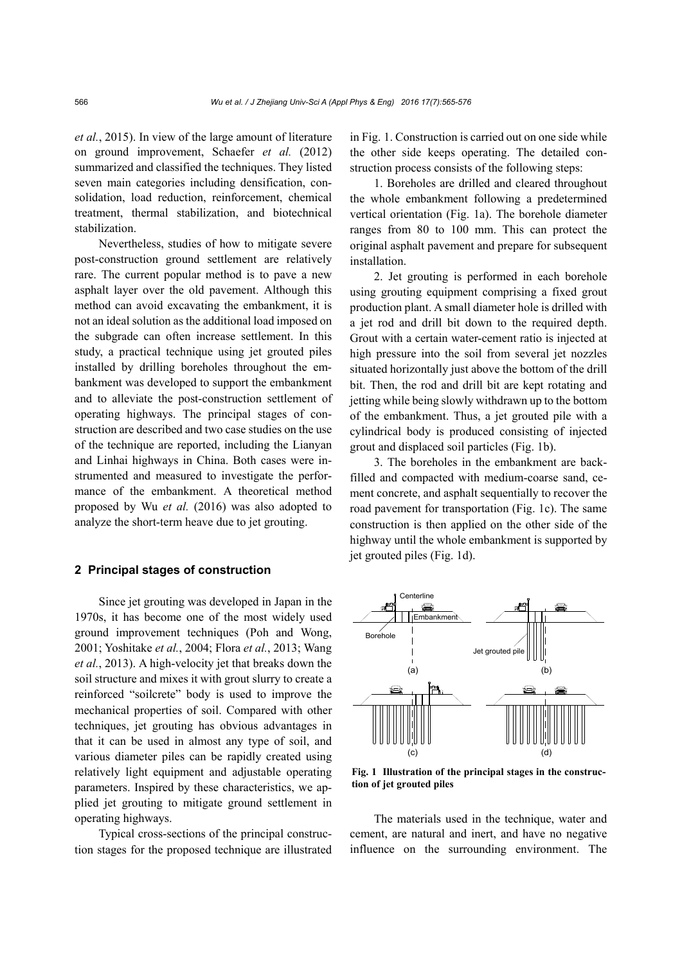*et al.*, 2015). In view of the large amount of literature on ground improvement, Schaefer *et al.* (2012) summarized and classified the techniques. They listed seven main categories including densification, consolidation, load reduction, reinforcement, chemical treatment, thermal stabilization, and biotechnical stabilization.

Nevertheless, studies of how to mitigate severe post-construction ground settlement are relatively rare. The current popular method is to pave a new asphalt layer over the old pavement. Although this method can avoid excavating the embankment, it is not an ideal solution as the additional load imposed on the subgrade can often increase settlement. In this study, a practical technique using jet grouted piles installed by drilling boreholes throughout the embankment was developed to support the embankment and to alleviate the post-construction settlement of operating highways. The principal stages of construction are described and two case studies on the use of the technique are reported, including the Lianyan and Linhai highways in China. Both cases were instrumented and measured to investigate the performance of the embankment. A theoretical method proposed by Wu *et al.* (2016) was also adopted to analyze the short-term heave due to jet grouting.

#### **2 Principal stages of construction**

Since jet grouting was developed in Japan in the 1970s, it has become one of the most widely used ground improvement techniques (Poh and Wong, 2001; Yoshitake *et al.*, 2004; Flora *et al.*, 2013; Wang *et al.*, 2013). A high-velocity jet that breaks down the soil structure and mixes it with grout slurry to create a reinforced "soilcrete" body is used to improve the mechanical properties of soil. Compared with other techniques, jet grouting has obvious advantages in that it can be used in almost any type of soil, and various diameter piles can be rapidly created using relatively light equipment and adjustable operating parameters. Inspired by these characteristics, we applied jet grouting to mitigate ground settlement in operating highways.

Typical cross-sections of the principal construction stages for the proposed technique are illustrated in Fig. 1. Construction is carried out on one side while the other side keeps operating. The detailed construction process consists of the following steps:

1. Boreholes are drilled and cleared throughout the whole embankment following a predetermined vertical orientation (Fig. 1a). The borehole diameter ranges from 80 to 100 mm. This can protect the original asphalt pavement and prepare for subsequent installation.

2. Jet grouting is performed in each borehole using grouting equipment comprising a fixed grout production plant. A small diameter hole is drilled with a jet rod and drill bit down to the required depth. Grout with a certain water-cement ratio is injected at high pressure into the soil from several jet nozzles situated horizontally just above the bottom of the drill bit. Then, the rod and drill bit are kept rotating and jetting while being slowly withdrawn up to the bottom of the embankment. Thus, a jet grouted pile with a cylindrical body is produced consisting of injected grout and displaced soil particles (Fig. 1b).

3. The boreholes in the embankment are backfilled and compacted with medium-coarse sand, cement concrete, and asphalt sequentially to recover the road pavement for transportation (Fig. 1c). The same construction is then applied on the other side of the highway until the whole embankment is supported by jet grouted piles (Fig. 1d).



**Fig. 1 Illustration of the principal stages in the construction of jet grouted piles** 

The materials used in the technique, water and cement, are natural and inert, and have no negative influence on the surrounding environment. The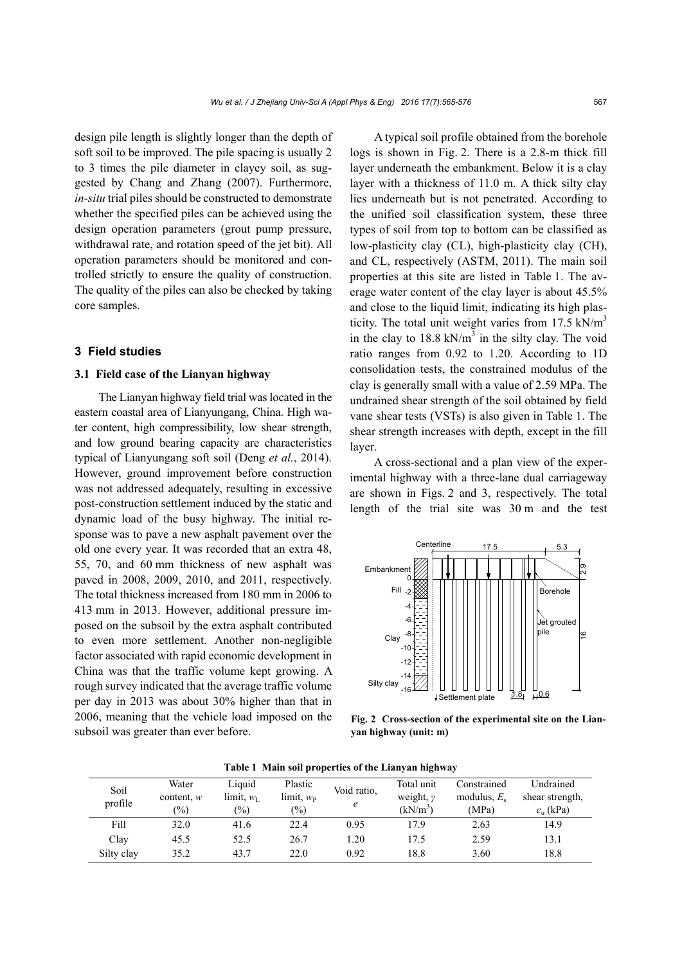design pile length is slightly longer than the depth of soft soil to be improved. The pile spacing is usually 2 to 3 times the pile diameter in clayey soil, as suggested by Chang and Zhang (2007). Furthermore, *in-situ* trial piles should be constructed to demonstrate whether the specified piles can be achieved using the design operation parameters (grout pump pressure, withdrawal rate, and rotation speed of the jet bit). All operation parameters should be monitored and controlled strictly to ensure the quality of construction. The quality of the piles can also be checked by taking core samples.

#### **3 Field studies**

#### **3.1 Field case of the Lianyan highway**

The Lianyan highway field trial was located in the eastern coastal area of Lianyungang, China. High water content, high compressibility, low shear strength, and low ground bearing capacity are characteristics typical of Lianyungang soft soil (Deng *et al.*, 2014). However, ground improvement before construction was not addressed adequately, resulting in excessive post-construction settlement induced by the static and dynamic load of the busy highway. The initial response was to pave a new asphalt pavement over the old one every year. It was recorded that an extra 48, 55, 70, and 60 mm thickness of new asphalt was paved in 2008, 2009, 2010, and 2011, respectively. The total thickness increased from 180 mm in 2006 to 413 mm in 2013. However, additional pressure imposed on the subsoil by the extra asphalt contributed to even more settlement. Another non-negligible factor associated with rapid economic development in China was that the traffic volume kept growing. A rough survey indicated that the average traffic volume per day in 2013 was about 30% higher than that in 2006, meaning that the vehicle load imposed on the subsoil was greater than ever before.

A typical soil profile obtained from the borehole logs is shown in Fig. 2. There is a 2.8-m thick fill layer underneath the embankment. Below it is a clay layer with a thickness of 11.0 m. A thick silty clay lies underneath but is not penetrated. According to the unified soil classification system, these three types of soil from top to bottom can be classified as low-plasticity clay (CL), high-plasticity clay (CH), and CL, respectively (ASTM, 2011). The main soil properties at this site are listed in Table 1. The average water content of the clay layer is about 45.5% and close to the liquid limit, indicating its high plasticity. The total unit weight varies from  $17.5 \text{ kN/m}^3$ in the clay to  $18.8 \text{ kN/m}^3$  in the silty clay. The void ratio ranges from 0.92 to 1.20. According to 1D consolidation tests, the constrained modulus of the clay is generally small with a value of 2.59 MPa. The undrained shear strength of the soil obtained by field vane shear tests (VSTs) is also given in Table 1. The shear strength increases with depth, except in the fill layer.

A cross-sectional and a plan view of the experimental highway with a three-lane dual carriageway are shown in Figs. 2 and 3, respectively. The total length of the trial site was 30 m and the test



**Fig. 2 Cross-section of the experimental site on the Lianyan highway (unit: m)** 

| Soil       | Water         | Liquid                | Plastic        | Void ratio, | Total unit    | Constrained    | <b>Undrained</b> |
|------------|---------------|-----------------------|----------------|-------------|---------------|----------------|------------------|
| profile    | content, $w$  | limit, $w_{\text{I}}$ | limit, $w_{P}$ |             | weight, $\nu$ | modulus, $E_s$ | shear strength,  |
|            | $\frac{1}{2}$ | $(\%)$                | $\frac{1}{2}$  | e           | $(kN/m^3)$    | (MPa)          | $c_n$ (kPa)      |
| Fill       | 32.0          | 41.6                  | 22.4           | 0.95        | 17.9          | 2.63           | 14.9             |
| Clay       | 45.5          | 52.5                  | 26.7           | 1.20        | 17.5          | 2.59           | 13.1             |
| Silty clay | 35.2          | 43.7                  | 22.0           | 0.92        | 18.8          | 3.60           | 18.8             |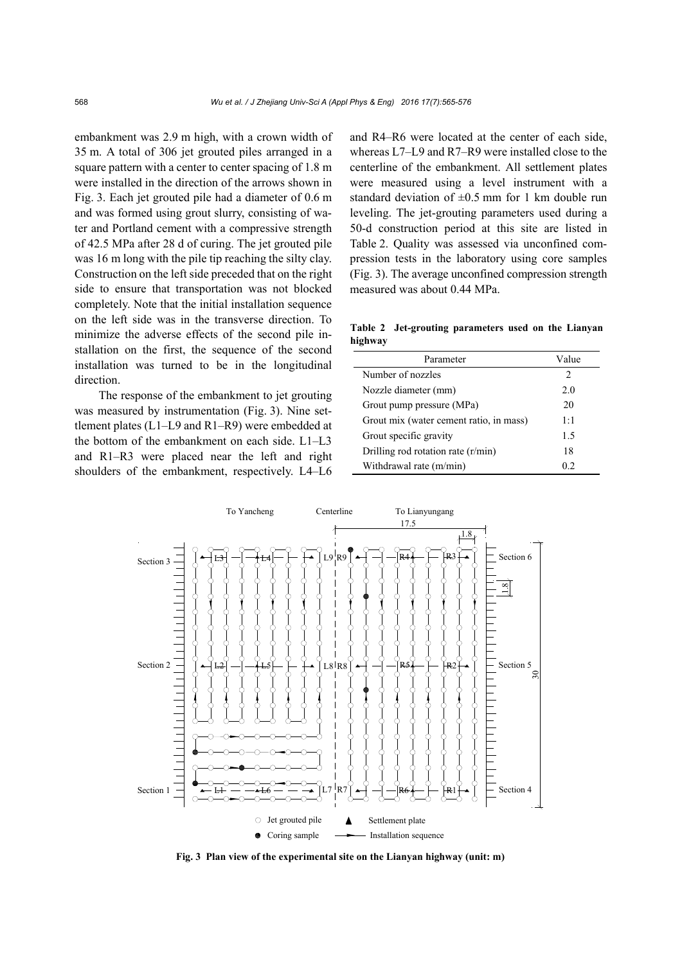embankment was 2.9 m high, with a crown width of 35 m. A total of 306 jet grouted piles arranged in a square pattern with a center to center spacing of 1.8 m were installed in the direction of the arrows shown in Fig. 3. Each jet grouted pile had a diameter of 0.6 m and was formed using grout slurry, consisting of water and Portland cement with a compressive strength of 42.5 MPa after 28 d of curing. The jet grouted pile was 16 m long with the pile tip reaching the silty clay. Construction on the left side preceded that on the right side to ensure that transportation was not blocked completely. Note that the initial installation sequence on the left side was in the transverse direction. To minimize the adverse effects of the second pile installation on the first, the sequence of the second installation was turned to be in the longitudinal direction.

The response of the embankment to jet grouting was measured by instrumentation (Fig. 3). Nine settlement plates (L1–L9 and R1–R9) were embedded at the bottom of the embankment on each side. L1–L3 and R1–R3 were placed near the left and right shoulders of the embankment, respectively. L4–L6

and R4–R6 were located at the center of each side, whereas L7–L9 and R7–R9 were installed close to the centerline of the embankment. All settlement plates were measured using a level instrument with a standard deviation of  $\pm 0.5$  mm for 1 km double run leveling. The jet-grouting parameters used during a 50-d construction period at this site are listed in Table 2. Quality was assessed via unconfined compression tests in the laboratory using core samples (Fig. 3). The average unconfined compression strength measured was about 0.44 MPa.

**Table 2 Jet-grouting parameters used on the Lianyan highway** 

| Parameter                               | Value         |  |
|-----------------------------------------|---------------|--|
| Number of nozzles                       | $\mathcal{L}$ |  |
| Nozzle diameter (mm)                    | 20            |  |
| Grout pump pressure (MPa)               | 20            |  |
| Grout mix (water cement ratio, in mass) | 1:1           |  |
| Grout specific gravity                  | 15            |  |
| Drilling rod rotation rate (r/min)      | 18            |  |
| Withdrawal rate (m/min)                 | 02            |  |



**Fig. 3 Plan view of the experimental site on the Lianyan highway (unit: m)**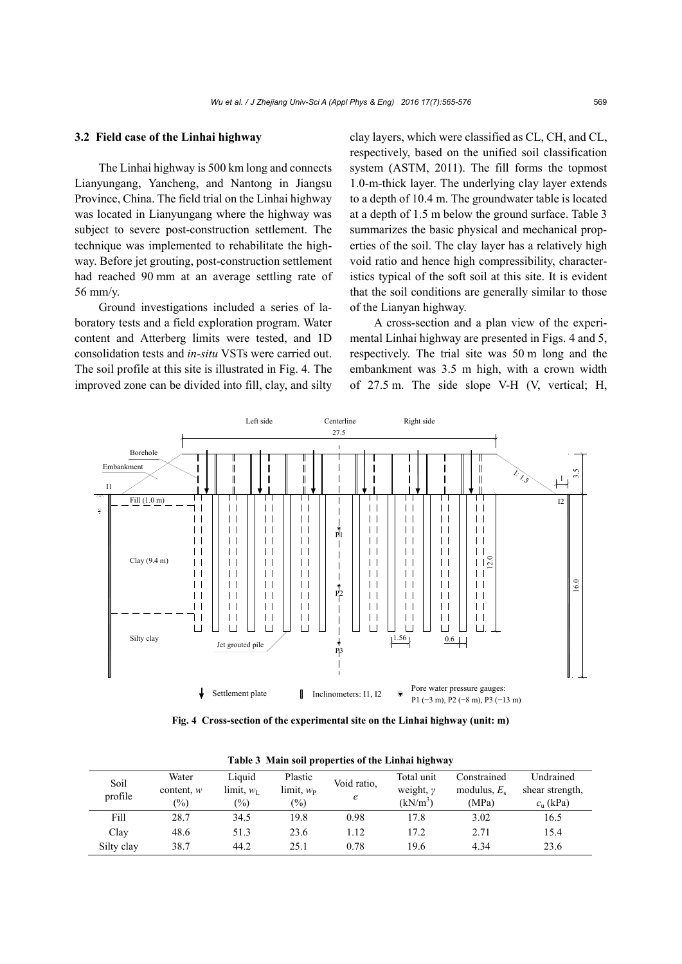#### **3.2 Field case of the Linhai highway**

The Linhai highway is 500 km long and connects Lianyungang, Yancheng, and Nantong in Jiangsu Province, China. The field trial on the Linhai highway was located in Lianyungang where the highway was subject to severe post-construction settlement. The technique was implemented to rehabilitate the highway. Before jet grouting, post-construction settlement had reached 90 mm at an average settling rate of 56 mm/y.

Ground investigations included a series of laboratory tests and a field exploration program. Water content and Atterberg limits were tested, and 1D consolidation tests and *in-situ* VSTs were carried out. The soil profile at this site is illustrated in Fig. 4. The improved zone can be divided into fill, clay, and silty

clay layers, which were classified as CL, CH, and CL, respectively, based on the unified soil classification system (ASTM, 2011). The fill forms the topmost 1.0-m-thick layer. The underlying clay layer extends to a depth of 10.4 m. The groundwater table is located at a depth of 1.5 m below the ground surface. Table 3 summarizes the basic physical and mechanical properties of the soil. The clay layer has a relatively high void ratio and hence high compressibility, characteristics typical of the soft soil at this site. It is evident that the soil conditions are generally similar to those of the Lianyan highway.

A cross-section and a plan view of the experimental Linhai highway are presented in Figs. 4 and 5, respectively. The trial site was 50 m long and the embankment was 3.5 m high, with a crown width of 27.5 m. The side slope V-H (V, vertical; H,



**Fig. 4 Cross-section of the experimental site on the Linhai highway (unit: m)**

| Table 5 Friam son properties of the Emmar mgnway |               |                       |                       |             |               |                |                  |
|--------------------------------------------------|---------------|-----------------------|-----------------------|-------------|---------------|----------------|------------------|
| Soil                                             | Water         | Liquid                | Plastic               | Void ratio, | Total unit    | Constrained    | <b>Undrained</b> |
| profile                                          | content, $w$  | limit, w <sub>u</sub> | limit, w <sub>p</sub> |             | weight, $\nu$ | modulus, $E_s$ | shear strength,  |
|                                                  | $\frac{1}{2}$ | $\binom{0}{0}$        | $\frac{1}{2}$         | e           | $(kN/m^3)$    | (MPa)          | $c_n$ (kPa)      |
| Fill                                             | 28.7          | 34.5                  | 19.8                  | 0.98        | 17.8          | 3.02           | 16.5             |
| Clay                                             | 48.6          | 51.3                  | 23.6                  | 1.12        | 17.2          | 2.71           | 15.4             |
| Silty clay                                       | 38.7          | 44.2                  | 25.1                  | 0.78        | 19.6          | 4.34           | 23.6             |

**Table 3 Main soil properties of the Linhai highway**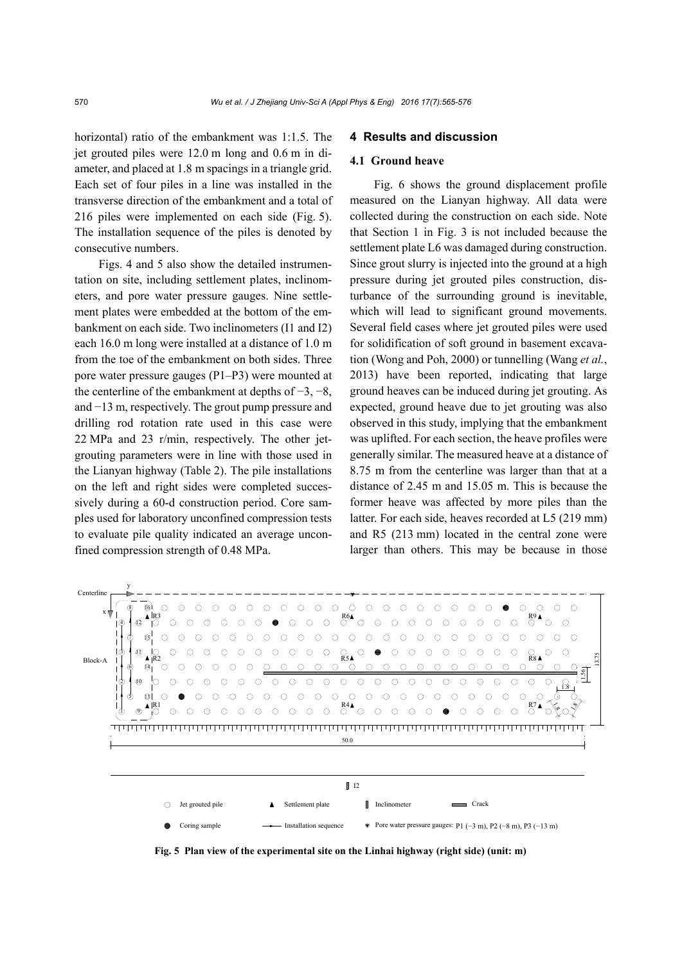horizontal) ratio of the embankment was 1:1.5. The jet grouted piles were 12.0 m long and 0.6 m in diameter, and placed at 1.8 m spacings in a triangle grid. Each set of four piles in a line was installed in the transverse direction of the embankment and a total of 216 piles were implemented on each side (Fig. 5). The installation sequence of the piles is denoted by consecutive numbers.

Figs. 4 and 5 also show the detailed instrumentation on site, including settlement plates, inclinometers, and pore water pressure gauges. Nine settlement plates were embedded at the bottom of the embankment on each side. Two inclinometers (I1 and I2) each 16.0 m long were installed at a distance of 1.0 m from the toe of the embankment on both sides. Three pore water pressure gauges (P1–P3) were mounted at the centerline of the embankment at depths of  $-3$ ,  $-8$ , and −13 m, respectively. The grout pump pressure and drilling rod rotation rate used in this case were 22 MPa and 23 r/min, respectively. The other jetgrouting parameters were in line with those used in the Lianyan highway (Table 2). The pile installations on the left and right sides were completed successively during a 60-d construction period. Core samples used for laboratory unconfined compression tests to evaluate pile quality indicated an average unconfined compression strength of 0.48 MPa.

#### **4 Results and discussion**

#### **4.1 Ground heave**

Fig. 6 shows the ground displacement profile measured on the Lianyan highway. All data were collected during the construction on each side. Note that Section 1 in Fig. 3 is not included because the settlement plate L6 was damaged during construction. Since grout slurry is injected into the ground at a high pressure during jet grouted piles construction, disturbance of the surrounding ground is inevitable, which will lead to significant ground movements. Several field cases where jet grouted piles were used for solidification of soft ground in basement excavation (Wong and Poh, 2000) or tunnelling (Wang *et al.*, 2013) have been reported, indicating that large ground heaves can be induced during jet grouting. As expected, ground heave due to jet grouting was also observed in this study, implying that the embankment was uplifted. For each section, the heave profiles were generally similar. The measured heave at a distance of 8.75 m from the centerline was larger than that at a distance of 2.45 m and 15.05 m. This is because the former heave was affected by more piles than the latter. For each side, heaves recorded at L5 (219 mm) and R5 (213 mm) located in the central zone were larger than others. This may be because in those



**Fig. 5 Plan view of the experimental site on the Linhai highway (right side) (unit: m)**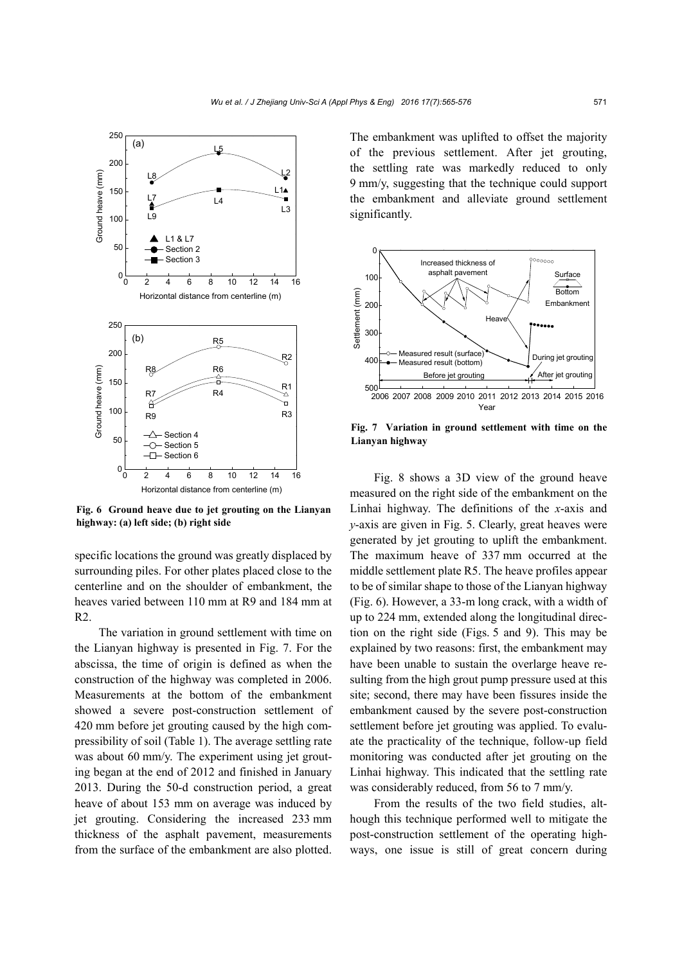

**Fig. 6 Ground heave due to jet grouting on the Lianyan highway: (a) left side; (b) right side** 

specific locations the ground was greatly displaced by surrounding piles. For other plates placed close to the centerline and on the shoulder of embankment, the heaves varied between 110 mm at R9 and 184 mm at R2.

The variation in ground settlement with time on the Lianyan highway is presented in Fig. 7. For the abscissa, the time of origin is defined as when the construction of the highway was completed in 2006. Measurements at the bottom of the embankment showed a severe post-construction settlement of 420 mm before jet grouting caused by the high compressibility of soil (Table 1). The average settling rate was about 60 mm/y. The experiment using jet grouting began at the end of 2012 and finished in January 2013. During the 50-d construction period, a great heave of about 153 mm on average was induced by jet grouting. Considering the increased 233 mm thickness of the asphalt pavement, measurements from the surface of the embankment are also plotted.

The embankment was uplifted to offset the majority of the previous settlement. After jet grouting, the settling rate was markedly reduced to only 9 mm/y, suggesting that the technique could support the embankment and alleviate ground settlement significantly.



**Fig. 7 Variation in ground settlement with time on the Lianyan highway** 

Fig. 8 shows a 3D view of the ground heave measured on the right side of the embankment on the Linhai highway. The definitions of the *x*-axis and *y*-axis are given in Fig. 5. Clearly, great heaves were generated by jet grouting to uplift the embankment. The maximum heave of 337 mm occurred at the middle settlement plate R5. The heave profiles appear to be of similar shape to those of the Lianyan highway (Fig. 6). However, a 33-m long crack, with a width of up to 224 mm, extended along the longitudinal direction on the right side (Figs. 5 and 9). This may be explained by two reasons: first, the embankment may have been unable to sustain the overlarge heave resulting from the high grout pump pressure used at this site; second, there may have been fissures inside the embankment caused by the severe post-construction settlement before jet grouting was applied. To evaluate the practicality of the technique, follow-up field monitoring was conducted after jet grouting on the Linhai highway. This indicated that the settling rate was considerably reduced, from 56 to 7 mm/y.

From the results of the two field studies, although this technique performed well to mitigate the post-construction settlement of the operating highways, one issue is still of great concern during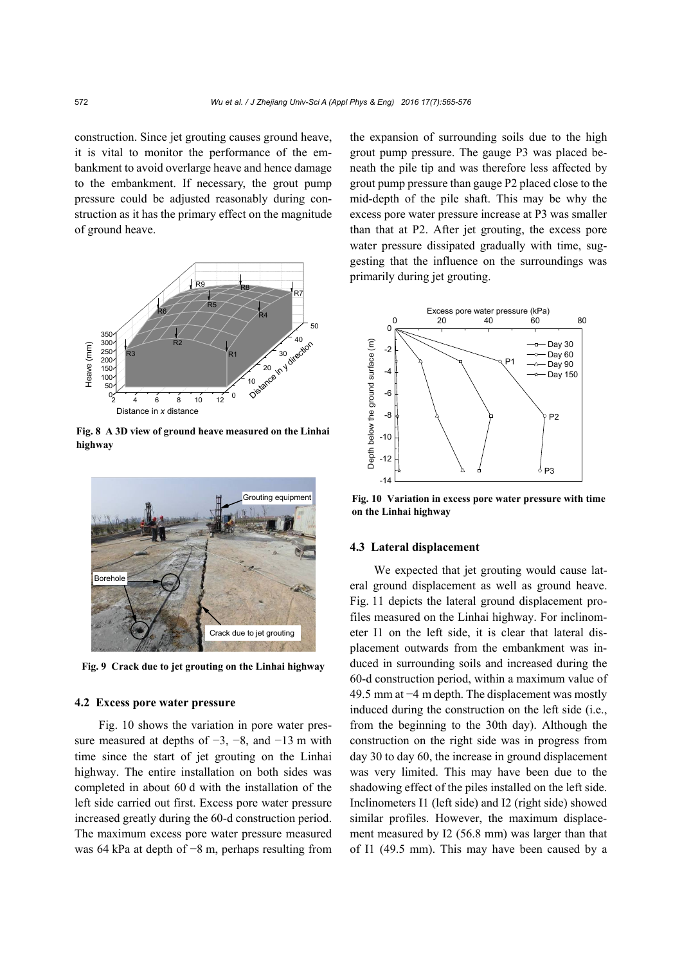construction. Since jet grouting causes ground heave, it is vital to monitor the performance of the embankment to avoid overlarge heave and hence damage to the embankment. If necessary, the grout pump pressure could be adjusted reasonably during construction as it has the primary effect on the magnitude of ground heave.



**Fig. 8 A 3D view of ground heave measured on the Linhai highway** 



**Fig. 9 Crack due to jet grouting on the Linhai highway**

#### **4.2 Excess pore water pressure**

Fig. 10 shows the variation in pore water pressure measured at depths of  $-3$ ,  $-8$ , and  $-13$  m with time since the start of jet grouting on the Linhai highway. The entire installation on both sides was completed in about 60 d with the installation of the left side carried out first. Excess pore water pressure increased greatly during the 60-d construction period. The maximum excess pore water pressure measured was 64 kPa at depth of −8 m, perhaps resulting from

the expansion of surrounding soils due to the high grout pump pressure. The gauge P3 was placed beneath the pile tip and was therefore less affected by grout pump pressure than gauge P2 placed close to the mid-depth of the pile shaft. This may be why the excess pore water pressure increase at P3 was smaller than that at P2. After jet grouting, the excess pore water pressure dissipated gradually with time, suggesting that the influence on the surroundings was primarily during jet grouting.



**Fig. 10 Variation in excess pore water pressure with time on the Linhai highway** 

#### **4.3 Lateral displacement**

We expected that jet grouting would cause lateral ground displacement as well as ground heave. Fig. 11 depicts the lateral ground displacement profiles measured on the Linhai highway. For inclinometer I1 on the left side, it is clear that lateral displacement outwards from the embankment was induced in surrounding soils and increased during the 60-d construction period, within a maximum value of 49.5 mm at −4 m depth. The displacement was mostly induced during the construction on the left side (i.e., from the beginning to the 30th day). Although the construction on the right side was in progress from day 30 to day 60, the increase in ground displacement was very limited. This may have been due to the shadowing effect of the piles installed on the left side. Inclinometers I1 (left side) and I2 (right side) showed similar profiles. However, the maximum displacement measured by I2 (56.8 mm) was larger than that of I1 (49.5 mm). This may have been caused by a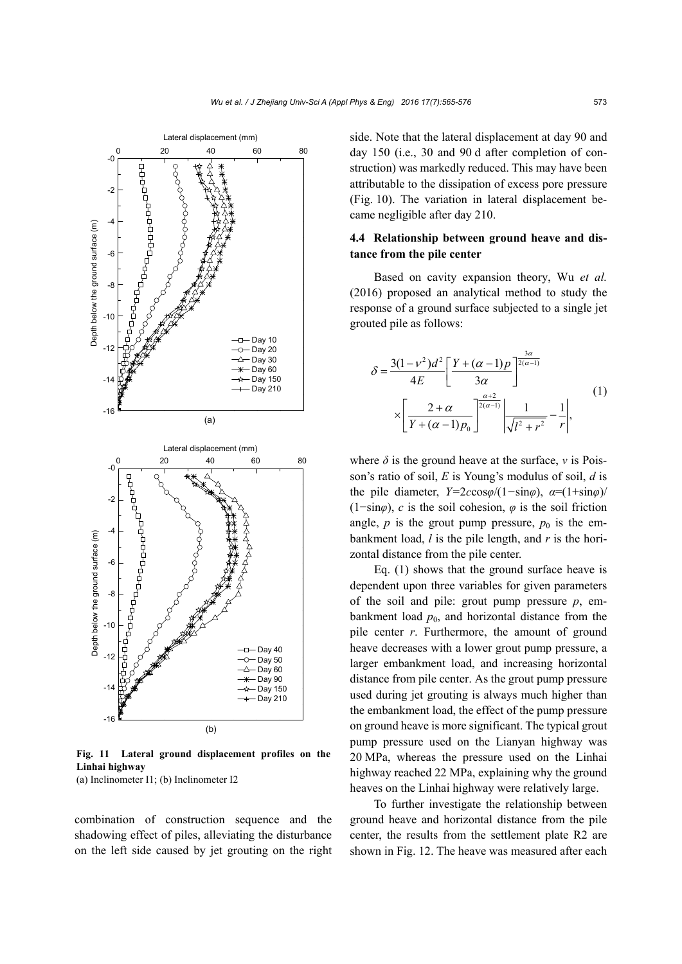

**Fig. 11 Lateral ground displacement profiles on the Linhai highway** 

(a) Inclinometer I1; (b) Inclinometer I2

combination of construction sequence and the shadowing effect of piles, alleviating the disturbance on the left side caused by jet grouting on the right side. Note that the lateral displacement at day 90 and day 150 (i.e., 30 and 90 d after completion of construction) was markedly reduced. This may have been attributable to the dissipation of excess pore pressure (Fig. 10). The variation in lateral displacement became negligible after day 210.

## **4.4 Relationship between ground heave and distance from the pile center**

Based on cavity expansion theory, Wu *et al.* (2016) proposed an analytical method to study the response of a ground surface subjected to a single jet grouted pile as follows:

$$
\delta = \frac{3(1 - v^2)d^2}{4E} \left[ \frac{Y + (\alpha - 1)p}{3\alpha} \right]^{\frac{3\alpha}{2(\alpha - 1)}}
$$
  
 
$$
\times \left[ \frac{2 + \alpha}{Y + (\alpha - 1)p_0} \right]^{\frac{\alpha + 2}{2(\alpha - 1)}} \left| \frac{1}{\sqrt{I^2 + r^2}} - \frac{1}{r} \right|,
$$
 (1)

where  $\delta$  is the ground heave at the surface,  $\nu$  is Poisson's ratio of soil, *E* is Young's modulus of soil, *d* is the pile diameter, *Y=*2*c*cos*φ*/(1*−*sin*φ*), *α*=(1+sin*φ*)/ (1−sin $\varphi$ ), *c* is the soil cohesion,  $\varphi$  is the soil friction angle,  $p$  is the grout pump pressure,  $p_0$  is the embankment load, *l* is the pile length, and *r* is the horizontal distance from the pile center.

Eq. (1) shows that the ground surface heave is dependent upon three variables for given parameters of the soil and pile: grout pump pressure  $p$ , embankment load  $p_0$ , and horizontal distance from the pile center *r*. Furthermore, the amount of ground heave decreases with a lower grout pump pressure, a larger embankment load, and increasing horizontal distance from pile center. As the grout pump pressure used during jet grouting is always much higher than the embankment load, the effect of the pump pressure on ground heave is more significant. The typical grout pump pressure used on the Lianyan highway was 20 MPa, whereas the pressure used on the Linhai highway reached 22 MPa, explaining why the ground heaves on the Linhai highway were relatively large.

To further investigate the relationship between ground heave and horizontal distance from the pile center, the results from the settlement plate R2 are shown in Fig. 12. The heave was measured after each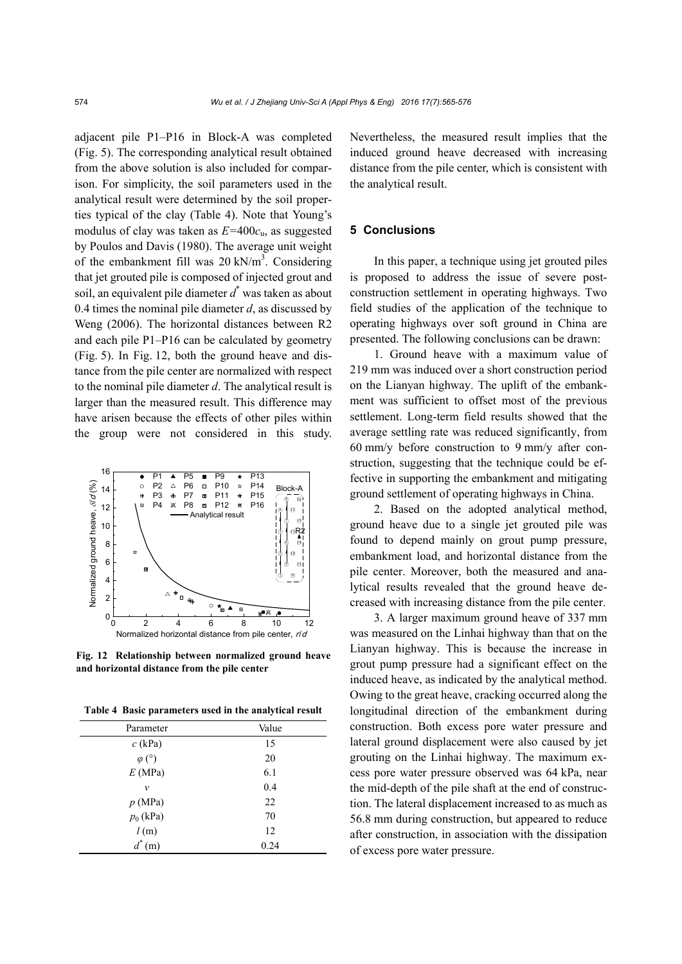adjacent pile P1–P16 in Block-A was completed (Fig. 5). The corresponding analytical result obtained from the above solution is also included for comparison. For simplicity, the soil parameters used in the analytical result were determined by the soil properties typical of the clay (Table 4). Note that Young's modulus of clay was taken as *E=*400*c*u, as suggested by Poulos and Davis (1980). The average unit weight of the embankment fill was  $20 \text{ kN/m}^3$ . Considering that jet grouted pile is composed of injected grout and soil, an equivalent pile diameter *d*\* was taken as about 0.4 times the nominal pile diameter *d*, as discussed by Weng (2006). The horizontal distances between R2 and each pile P1–P16 can be calculated by geometry (Fig. 5). In Fig. 12, both the ground heave and distance from the pile center are normalized with respect to the nominal pile diameter *d*. The analytical result is larger than the measured result. This difference may have arisen because the effects of other piles within the group were not considered in this study.



**Fig. 12 Relationship between normalized ground heave and horizontal distance from the pile center** 

**Table 4 Basic parameters used in the analytical result**

| Parameter     | Value |
|---------------|-------|
| $c$ (kPa)     | 15    |
| $\varphi$ (°) | 20    |
| E(MPa)        | 6.1   |
| $\mathcal{V}$ | 0.4   |
| p(MPa)        | 22    |
| $p_0$ (kPa)   | 70    |
| l(m)          | 12    |
| $d^*$<br>(m)  | 0.24  |

Nevertheless, the measured result implies that the induced ground heave decreased with increasing distance from the pile center, which is consistent with the analytical result.

### **5 Conclusions**

In this paper, a technique using jet grouted piles is proposed to address the issue of severe postconstruction settlement in operating highways. Two field studies of the application of the technique to operating highways over soft ground in China are presented. The following conclusions can be drawn:

1. Ground heave with a maximum value of 219 mm was induced over a short construction period on the Lianyan highway. The uplift of the embankment was sufficient to offset most of the previous settlement. Long-term field results showed that the average settling rate was reduced significantly, from 60 mm/y before construction to 9 mm/y after construction, suggesting that the technique could be effective in supporting the embankment and mitigating ground settlement of operating highways in China.

2. Based on the adopted analytical method, ground heave due to a single jet grouted pile was found to depend mainly on grout pump pressure, embankment load, and horizontal distance from the pile center. Moreover, both the measured and analytical results revealed that the ground heave decreased with increasing distance from the pile center.

3. A larger maximum ground heave of 337 mm was measured on the Linhai highway than that on the Lianyan highway. This is because the increase in grout pump pressure had a significant effect on the induced heave, as indicated by the analytical method. Owing to the great heave, cracking occurred along the longitudinal direction of the embankment during construction. Both excess pore water pressure and lateral ground displacement were also caused by jet grouting on the Linhai highway. The maximum excess pore water pressure observed was 64 kPa, near the mid-depth of the pile shaft at the end of construction. The lateral displacement increased to as much as 56.8 mm during construction, but appeared to reduce after construction, in association with the dissipation of excess pore water pressure.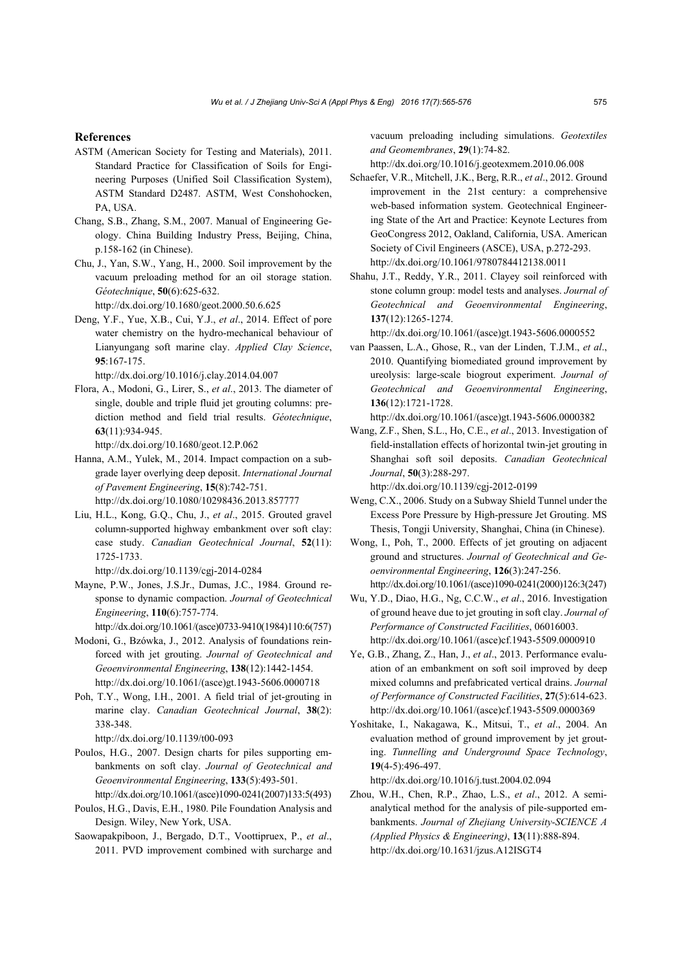#### **References**

- ASTM (American Society for Testing and Materials), 2011. Standard Practice for Classification of Soils for Engineering Purposes (Unified Soil Classification System), ASTM Standard D2487. ASTM, West Conshohocken, PA, USA.
- Chang, S.B., Zhang, S.M., 2007. Manual of Engineering Geology. China Building Industry Press, Beijing, China, p.158-162 (in Chinese).
- Chu, J., Yan, S.W., Yang, H., 2000. Soil improvement by the vacuum preloading method for an oil storage station. *Géotechnique*, **50**(6):625-632.

http://dx.doi.org/10.1680/geot.2000.50.6.625

Deng, Y.F., Yue, X.B., Cui, Y.J., *et al*., 2014. Effect of pore water chemistry on the hydro-mechanical behaviour of Lianyungang soft marine clay. *Applied Clay Science*, **95**:167-175.

http://dx.doi.org/10.1016/j.clay.2014.04.007

Flora, A., Modoni, G., Lirer, S., *et al*., 2013. The diameter of single, double and triple fluid jet grouting columns: prediction method and field trial results. *Géotechnique*, **63**(11):934-945.

http://dx.doi.org/10.1680/geot.12.P.062

- Hanna, A.M., Yulek, M., 2014. Impact compaction on a subgrade layer overlying deep deposit. *International Journal of Pavement Engineering*, **15**(8):742-751. http://dx.doi.org/10.1080/10298436.2013.857777
- Liu, H.L., Kong, G.Q., Chu, J., *et al*., 2015. Grouted gravel column-supported highway embankment over soft clay: case study. *Canadian Geotechnical Journal*, **52**(11): 1725-1733.

http://dx.doi.org/10.1139/cgj-2014-0284

Mayne, P.W., Jones, J.S.Jr., Dumas, J.C., 1984. Ground response to dynamic compaction. *Journal of Geotechnical Engineering*, **110**(6):757-774.

http://dx.doi.org/10.1061/(asce)0733-9410(1984)110:6(757)

- Modoni, G., Bzówka, J., 2012. Analysis of foundations reinforced with jet grouting. *Journal of Geotechnical and Geoenvironmental Engineering*, **138**(12):1442-1454. http://dx.doi.org/10.1061/(asce)gt.1943-5606.0000718
- Poh, T.Y., Wong, I.H., 2001. A field trial of jet-grouting in marine clay. *Canadian Geotechnical Journal*, **38**(2): 338-348.

http://dx.doi.org/10.1139/t00-093

- Poulos, H.G., 2007. Design charts for piles supporting embankments on soft clay. *Journal of Geotechnical and Geoenvironmental Engineering*, **133**(5):493-501. http://dx.doi.org/10.1061/(asce)1090-0241(2007)133:5(493)
- Poulos, H.G., Davis, E.H., 1980. Pile Foundation Analysis and Design. Wiley, New York, USA.
- Saowapakpiboon, J., Bergado, D.T., Voottipruex, P., *et al*., 2011. PVD improvement combined with surcharge and

vacuum preloading including simulations. *Geotextiles and Geomembranes*, **29**(1):74-82.

http://dx.doi.org/10.1016/j.geotexmem.2010.06.008

- Schaefer, V.R., Mitchell, J.K., Berg, R.R., *et al*., 2012. Ground improvement in the 21st century: a comprehensive web-based information system. Geotechnical Engineering State of the Art and Practice: Keynote Lectures from GeoCongress 2012, Oakland, California, USA. American Society of Civil Engineers (ASCE), USA, p.272-293. http://dx.doi.org/10.1061/9780784412138.0011
- Shahu, J.T., Reddy, Y.R., 2011. Clayey soil reinforced with stone column group: model tests and analyses. *Journal of Geotechnical and Geoenvironmental Engineering*, **137**(12):1265-1274.

http://dx.doi.org/10.1061/(asce)gt.1943-5606.0000552

van Paassen, L.A., Ghose, R., van der Linden, T.J.M., *et al*., 2010. Quantifying biomediated ground improvement by ureolysis: large-scale biogrout experiment. *Journal of Geotechnical and Geoenvironmental Engineering*, **136**(12):1721-1728.

http://dx.doi.org/10.1061/(asce)gt.1943-5606.0000382

Wang, Z.F., Shen, S.L., Ho, C.E., *et al*., 2013. Investigation of field-installation effects of horizontal twin-jet grouting in Shanghai soft soil deposits. *Canadian Geotechnical Journal*, **50**(3):288-297.

http://dx.doi.org/10.1139/cgj-2012-0199

- Weng, C.X., 2006. Study on a Subway Shield Tunnel under the Excess Pore Pressure by High-pressure Jet Grouting. MS Thesis, Tongji University, Shanghai, China (in Chinese).
- Wong, I., Poh, T., 2000. Effects of jet grouting on adjacent ground and structures. *Journal of Geotechnical and Geoenvironmental Engineering*, **126**(3):247-256. http://dx.doi.org/10.1061/(asce)1090-0241(2000)126:3(247)
- Wu, Y.D., Diao, H.G., Ng, C.C.W., *et al*., 2016. Investigation of ground heave due to jet grouting in soft clay. *Journal of Performance of Constructed Facilities*, 06016003. http://dx.doi.org/10.1061/(asce)cf.1943-5509.0000910
- Ye, G.B., Zhang, Z., Han, J., *et al*., 2013. Performance evaluation of an embankment on soft soil improved by deep mixed columns and prefabricated vertical drains. *Journal of Performance of Constructed Facilities*, **27**(5):614-623. http://dx.doi.org/10.1061/(asce)cf.1943-5509.0000369
- Yoshitake, I., Nakagawa, K., Mitsui, T., *et al*., 2004. An evaluation method of ground improvement by jet grouting. *Tunnelling and Underground Space Technology*, **19**(4-5):496-497.

http://dx.doi.org/10.1016/j.tust.2004.02.094

Zhou, W.H., Chen, R.P., Zhao, L.S., *et al*., 2012. A semianalytical method for the analysis of pile-supported embankments. *Journal of Zhejiang University-SCIENCE A (Applied Physics & Engineering)*, **13**(11):888-894. http://dx.doi.org/10.1631/jzus.A12ISGT4